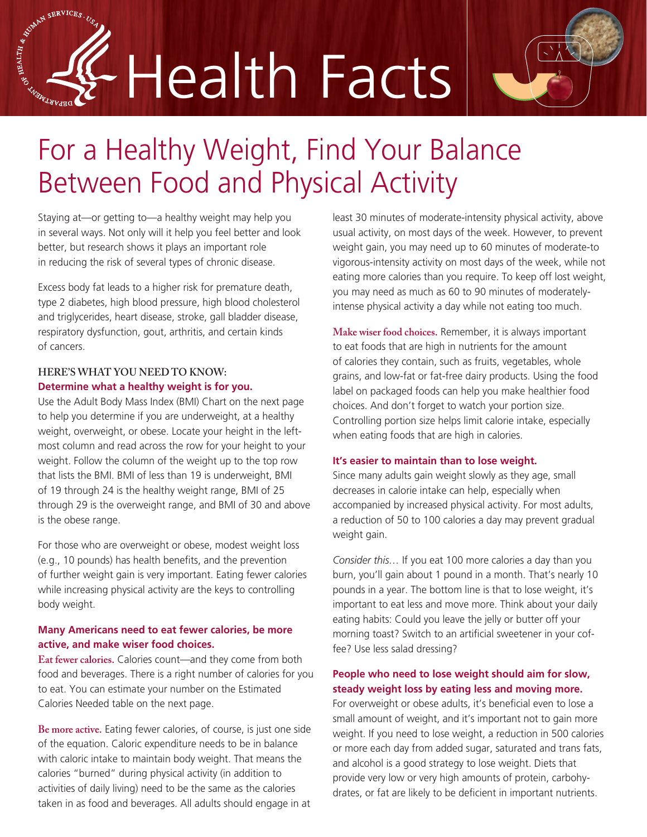# SE BRAIN SERVICES. Health Facts



## For a Healthy Weight, Find Your Balance Between Food and Physical Activity

Staying at—or getting to—a healthy weight may help you in several ways. Not only will it help you feel better and look better, but research shows it plays an important role in reducing the risk of several types of chronic disease.

Excess body fat leads to a higher risk for premature death, type 2 diabetes, high blood pressure, high blood cholesterol and triglycerides, heart disease, stroke, gall bladder disease, respiratory dysfunction, gout, arthritis, and certain kinds of cancers.

#### **HERE'S WHAT YOU NEED TO KNOW: Determine what a healthy weight is for you.**

Use the Adult Body Mass Index (BMI) Chart on the next page to help you determine if you are underweight, at a healthy weight, overweight, or obese. Locate your height in the leftmost column and read across the row for your height to your weight. Follow the column of the weight up to the top row that lists the BMI. BMI of less than 19 is underweight, BMI of 19 through 24 is the healthy weight range, BMI of 25 through 29 is the overweight range, and BMI of 30 and above is the obese range.

For those who are overweight or obese, modest weight loss (e.g., 10 pounds) has health benefits, and the prevention of further weight gain is very important. Eating fewer calories while increasing physical activity are the keys to controlling body weight.

#### **Many Americans need to eat fewer calories, be more active, and make wiser food choices.**

**Eat fewer calories.** Calories count—and they come from both food and beverages. There is a right number of calories for you to eat. You can estimate your number on the Estimated Calories Needed table on the next page.

**Be more active.** Eating fewer calories, of course, is just one side of the equation. Caloric expenditure needs to be in balance with caloric intake to maintain body weight. That means the calories "burned" during physical activity (in addition to activities of daily living) need to be the same as the calories taken in as food and beverages. All adults should engage in at

least 30 minutes of moderate-intensity physical activity, above usual activity, on most days of the week. However, to prevent weight gain, you may need up to 60 minutes of moderate-to vigorous-intensity activity on most days of the week, while not eating more calories than you require. To keep off lost weight, you may need as much as 60 to 90 minutes of moderatelyintense physical activity a day while not eating too much.

**Make wiser food choices.** Remember, it is always important to eat foods that are high in nutrients for the amount of calories they contain, such as fruits, vegetables, whole grains, and low-fat or fat-free dairy products. Using the food label on packaged foods can help you make healthier food choices. And don't forget to watch your portion size. Controlling portion size helps limit calorie intake, especially when eating foods that are high in calories.

#### **It's easier to maintain than to lose weight.**

Since many adults gain weight slowly as they age, small decreases in calorie intake can help, especially when accompanied by increased physical activity. For most adults, a reduction of 50 to 100 calories a day may prevent gradual weight gain.

*Consider this…* If you eat 100 more calories a day than you burn, you'll gain about 1 pound in a month. That's nearly 10 pounds in a year. The bottom line is that to lose weight, it's important to eat less and move more. Think about your daily eating habits: Could you leave the jelly or butter off your morning toast? Switch to an artificial sweetener in your coffee? Use less salad dressing?

### **People who need to lose weight should aim for slow, steady weight loss by eating less and moving more.**

For overweight or obese adults, it's beneficial even to lose a small amount of weight, and it's important not to gain more weight. If you need to lose weight, a reduction in 500 calories or more each day from added sugar, saturated and trans fats, and alcohol is a good strategy to lose weight. Diets that provide very low or very high amounts of protein, carbohydrates, or fat are likely to be deficient in important nutrients.